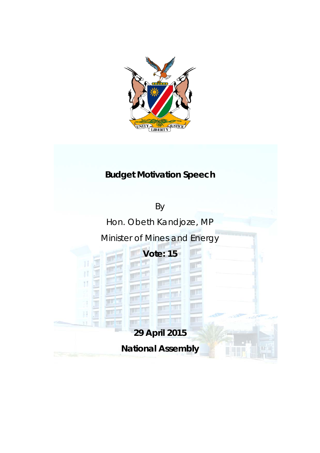

### **Budget Motivation Speech**

By

Hon. Obeth Kandjoze, MP

Minister of Mines and Energy

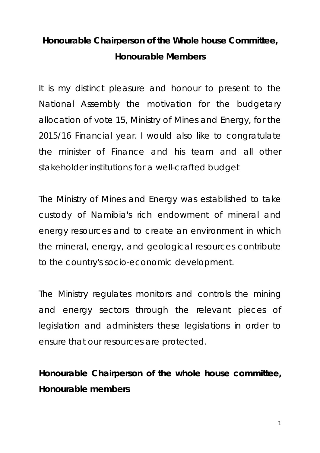# *Honourable Chairperson of the Whole house Committee, Honourable Members*

It is my distinct pleasure and honour to present to the National Assembly the motivation for the budgetary allocation of vote 15, Ministry of Mines and Energy, for the 2015/16 Financial year. I would also like to congratulate the minister of Finance and his team and all other stakeholder institutions for a well-crafted budget

The Ministry of Mines and Energy was established to take custody of Namibia's rich endowment of mineral and energy resources and to create an environment in which the mineral, energy, and geological resources contribute to the country's socio-economic development.

The Ministry regulates monitors and controls the mining and energy sectors through the relevant pieces of legislation and administers these legislations in order to ensure that our resources are protected.

**Honourable Chairperson of the whole house committee, Honourable members**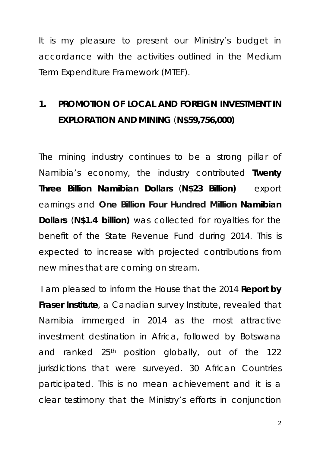It is my pleasure to present our Ministry's budget in accordance with the activities outlined in the Medium Term Expenditure Framework (MTEF).

## **1. PROMOTION OF LOCAL AND FOREIGN INVESTMENT IN EXPLORATION AND MINING** (**N\$59,756,000)**

The mining industry continues to be a strong pillar of Namibia's economy, the industry contributed **Twenty Three Billion Namibian Dollars** (**N\$23 Billion)** export earnings and **One Billion Four Hundred Million Namibian Dollars** (**N\$1.4 billion)** was collected for royalties for the benefit of the State Revenue Fund during 2014. This is expected to increase with projected contributions from new mines that are coming on stream.

I am pleased to inform the House that the 2014 **Report by Fraser Institute**, a Canadian survey Institute, revealed that Namibia immerged in 2014 as the most attractive investment destination in Africa, followed by Botswana and ranked 25<sup>th</sup> position globally, out of the 122 jurisdictions that were surveyed. 30 African Countries participated. This is no mean achievement and it is a clear testimony that the Ministry's efforts in conjunction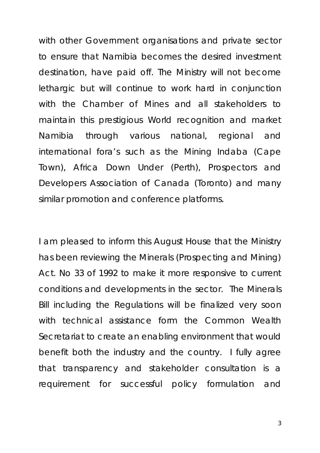with other Government organisations and private sector to ensure that Namibia becomes the desired investment destination, have paid off. The Ministry will not become lethargic but will continue to work hard in conjunction with the Chamber of Mines and all stakeholders to maintain this prestigious World recognition and market Namibia through various national, regional and international fora's such as the Mining Indaba (Cape Town), Africa Down Under (Perth), Prospectors and Developers Association of Canada (Toronto) and many similar promotion and conference platforms.

I am pleased to inform this August House that the Ministry has been reviewing the Minerals (Prospecting and Mining) Act. No 33 of 1992 to make it more responsive to current conditions and developments in the sector. The Minerals Bill including the Regulations will be finalized very soon with technical assistance form the Common Wealth Secretariat to create an enabling environment that would benefit both the industry and the country. I fully agree that transparency and stakeholder consultation is a requirement for successful policy formulation and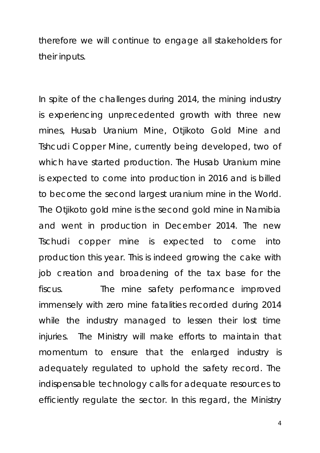therefore we will continue to engage all stakeholders for their inputs.

In spite of the challenges during 2014, the mining industry is experiencing unprecedented growth with three new mines, Husab Uranium Mine, Otjikoto Gold Mine and Tshcudi Copper Mine, currently being developed, two of which have started production. The Husab Uranium mine is expected to come into production in 2016 and is billed to become the second largest uranium mine in the World. The Otjikoto gold mine is the second gold mine in Namibia and went in production in December 2014. The new Tschudi copper mine is expected to come into production this year. This is indeed growing the cake with job creation and broadening of the tax base for the fiscus. The mine safety performance improved immensely with zero mine fatalities recorded during 2014 while the industry managed to lessen their lost time injuries. The Ministry will make efforts to maintain that momentum to ensure that the enlarged industry is adequately regulated to uphold the safety record. The indispensable technology calls for adequate resources to efficiently regulate the sector. In this regard, the Ministry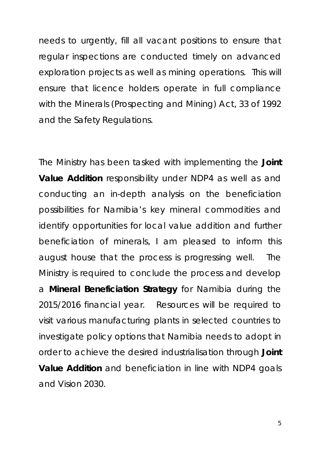needs to urgently, fill all vacant positions to ensure that regular inspections are conducted timely on advanced exploration projects as well as mining operations. This will ensure that licence holders operate in full compliance with the Minerals (Prospecting and Mining) Act, 33 of 1992 and the Safety Regulations.

The Ministry has been tasked with implementing the **Joint Value Addition** responsibility under NDP4 as well as and conducting an in-depth analysis on the beneficiation possibilities for Namibia's key mineral commodities and identify opportunities for local value addition and further beneficiation of minerals, I am pleased to inform this august house that the process is progressing well. The Ministry is required to conclude the process and develop a **Mineral Beneficiation Strategy** for Namibia during the 2015/2016 financial year. Resources will be required to visit various manufacturing plants in selected countries to investigate policy options that Namibia needs to adopt in order to achieve the desired industrialisation through **Joint Value Addition** and beneficiation in line with NDP4 goals and Vision 2030.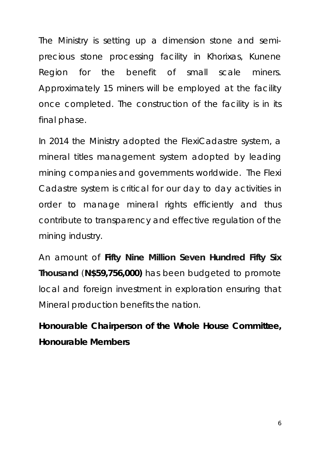The Ministry is setting up a dimension stone and semiprecious stone processing facility in Khorixas, Kunene Region for the benefit of small scale miners. Approximately 15 miners will be employed at the facility once completed. The construction of the facility is in its final phase.

In 2014 the Ministry adopted the FlexiCadastre system, a mineral titles management system adopted by leading mining companies and governments worldwide. The Flexi Cadastre system is critical for our day to day activities in order to manage mineral rights efficiently and thus contribute to transparency and effective regulation of the mining industry.

An amount of **Fifty Nine Million Seven Hundred Fifty Six Thousand** (**N\$59,756,000)** has been budgeted to promote local and foreign investment in exploration ensuring that Mineral production benefits the nation.

**Honourable Chairperson of the Whole House Committee, Honourable Members**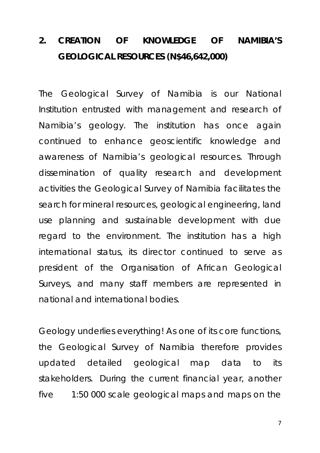# **2. CREATION OF KNOWLEDGE OF NAMIBIA'S GEOLOGICAL RESOURCES (N\$46,642,000)**

The Geological Survey of Namibia is our National Institution entrusted with management and research of Namibia's geology. The institution has once again continued to enhance geoscientific knowledge and awareness of Namibia's geological resources. Through dissemination of quality research and development activities the Geological Survey of Namibia facilitates the search for mineral resources, geological engineering, land use planning and sustainable development with due regard to the environment. The institution has a high international status, its director continued to serve as president of the Organisation of African Geological Surveys, and many staff members are represented in national and international bodies.

Geology underlies everything! As one of its core functions, the Geological Survey of Namibia therefore provides updated detailed geological map data to its stakeholders. During the current financial year, another five 1:50 000 scale geological maps and maps on the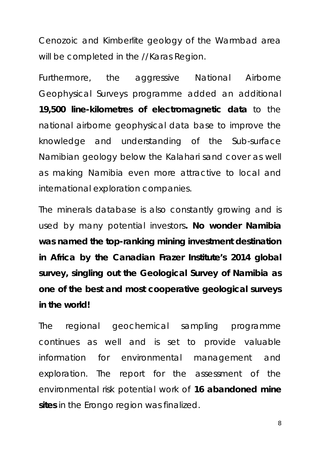Cenozoic and Kimberlite geology of the Warmbad area will be completed in the //Karas Region.

Furthermore, the aggressive National Airborne Geophysical Surveys programme added an additional **19,500 line-kilometres of electromagnetic data** to the national airborne geophysical data base to improve the knowledge and understanding of the Sub-surface Namibian geology below the Kalahari sand cover as well as making Namibia even more attractive to local and international exploration companies.

The minerals database is also constantly growing and is used by many potential investors**. No wonder Namibia was named the top-ranking mining investment destination in Africa by the Canadian Frazer Institute's 2014 global survey, singling out the Geological Survey of Namibia as one of the best and most cooperative geological surveys in the world!**

The regional geochemical sampling programme continues as well and is set to provide valuable information for environmental management and exploration. The report for the assessment of the environmental risk potential work of **16 abandoned mine sites** in the Erongo region was finalized.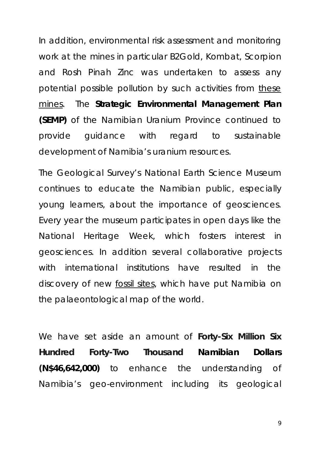In addition, environmental risk assessment and monitoring work at the mines in particular B2Gold, Kombat, Scorpion and Rosh Pinah Zinc was undertaken to assess any potential possible pollution by such activities from these mines. The **Strategic Environmental Management Plan (SEMP)** of the Namibian Uranium Province continued to provide guidance with regard to sustainable development of Namibia's uranium resources.

The Geological Survey's National Earth Science Museum continues to educate the Namibian public, especially young learners, about the importance of geosciences. Every year the museum participates in open days like the National Heritage Week, which fosters interest in geosciences. In addition several collaborative projects with international institutions have resulted in the discovery of new fossil sites, which have put Namibia on the palaeontological map of the world.

We have set aside an amount of **Forty-Six Million Six Hundred Forty-Two Thousand Namibian Dollars (N\$46,642,000)** to enhance the understanding of Namibia's geo-environment including its geological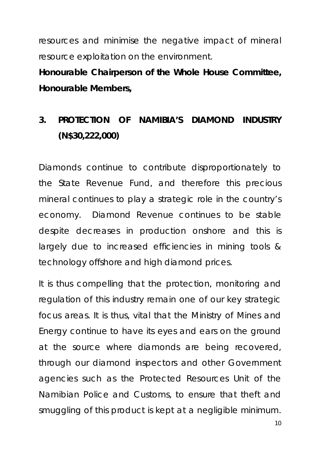resources and minimise the negative impact of mineral resource exploitation on the environment.

**Honourable Chairperson of the Whole House Committee, Honourable Members,**

### **3. PROTECTION OF NAMIBIA'S DIAMOND INDUSTRY (N\$30,222,000)**

Diamonds continue to contribute disproportionately to the State Revenue Fund, and therefore this precious mineral continues to play a strategic role in the country's economy. Diamond Revenue continues to be stable despite decreases in production onshore and this is largely due to increased efficiencies in mining tools & technology offshore and high diamond prices.

It is thus compelling that the protection, monitoring and regulation of this industry remain one of our key strategic focus areas. It is thus, vital that the Ministry of Mines and Energy continue to have its eyes and ears on the ground at the source where diamonds are being recovered, through our diamond inspectors and other Government agencies such as the Protected Resources Unit of the Namibian Police and Customs, to ensure that theft and smuggling of this product is kept at a negligible minimum.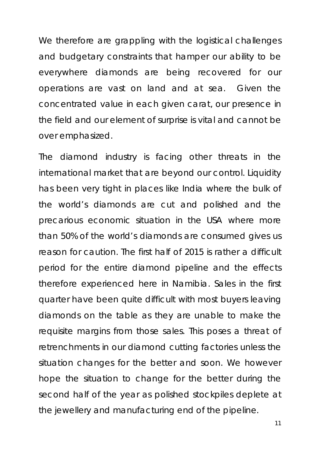We therefore are grappling with the logistical challenges and budgetary constraints that hamper our ability to be everywhere diamonds are being recovered for our operations are vast on land and at sea. Given the concentrated value in each given carat, our presence in the field and our element of surprise is vital and cannot be over emphasized.

The diamond industry is facing other threats in the international market that are beyond our control. Liquidity has been very tight in places like India where the bulk of the world's diamonds are cut and polished and the precarious economic situation in the USA where more than 50% of the world's diamonds are consumed gives us reason for caution. The first half of 2015 is rather a difficult period for the entire diamond pipeline and the effects therefore experienced here in Namibia. Sales in the first quarter have been quite difficult with most buyers leaving diamonds on the table as they are unable to make the requisite margins from those sales. This poses a threat of retrenchments in our diamond cutting factories unless the situation changes for the better and soon. We however hope the situation to change for the better during the second half of the year as polished stockpiles deplete at the jewellery and manufacturing end of the pipeline.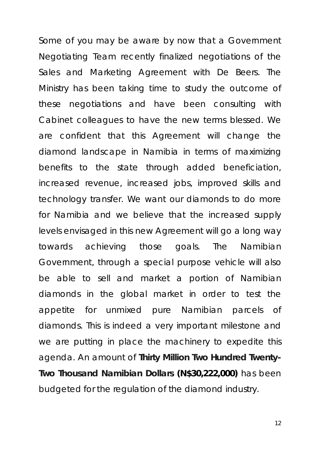Some of you may be aware by now that a Government Negotiating Team recently finalized negotiations of the Sales and Marketing Agreement with De Beers. The Ministry has been taking time to study the outcome of these negotiations and have been consulting with Cabinet colleagues to have the new terms blessed. We are confident that this Agreement will change the diamond landscape in Namibia in terms of maximizing benefits to the state through added beneficiation, increased revenue, increased jobs, improved skills and technology transfer. We want our diamonds to do more for Namibia and we believe that the increased supply levels envisaged in this new Agreement will go a long way towards achieving those goals. The Namibian Government, through a special purpose vehicle will also be able to sell and market a portion of Namibian diamonds in the global market in order to test the appetite for unmixed pure Namibian parcels of diamonds. This is indeed a very important milestone and we are putting in place the machinery to expedite this agenda. An amount of **Thirty Million Two Hundred Twenty-Two Thousand Namibian Dollars (N\$30,222,000)** has been budgeted for the regulation of the diamond industry.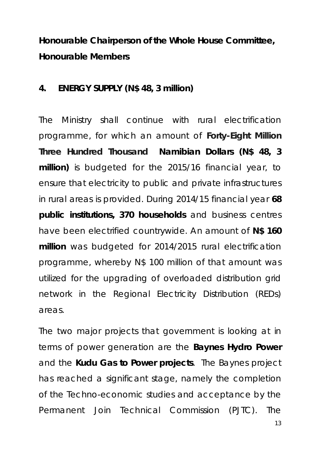**Honourable Chairperson of the Whole House Committee, Honourable Members**

#### **4. ENERGY SUPPLY (N\$ 48, 3 million)**

The Ministry shall continue with rural electrification programme, for which an amount of **Forty-Eight Million Three Hundred Thousand Namibian Dollars (N\$ 48, 3 million)** is budgeted for the 2015/16 financial year, to ensure that electricity to public and private infrastructures in rural areas is provided. During 2014/15 financial year **68 public institutions, 370 households** and business centres have been electrified countrywide. An amount of **N\$ 160 million** was budgeted for 2014/2015 rural electrification programme, whereby N\$ 100 million of that amount was utilized for the upgrading of overloaded distribution grid network in the Regional Electricity Distribution (REDs) areas.

The two major projects that government is looking at in terms of power generation are the **Baynes Hydro Power** and the **Kudu Gas to Power projects**. The Baynes project has reached a significant stage, namely the completion of the Techno-economic studies and acceptance by the Permanent Join Technical Commission (PJTC). The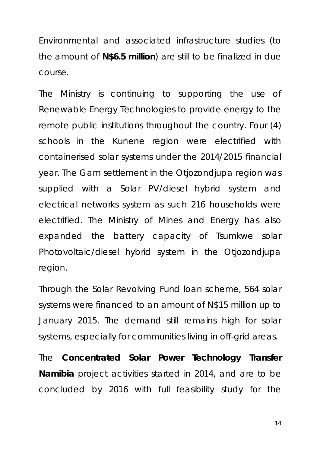Environmental and associated infrastructure studies (to the amount of **N\$6.5 million**) are still to be finalized in due course.

The Ministry is continuing to supporting the use of Renewable Energy Technologies to provide energy to the remote public institutions throughout the country. Four (4) schools in the Kunene region were electrified with containerised solar systems under the 2014/2015 financial year. The Gam settlement in the Otjozondjupa region was supplied with a Solar PV/diesel hybrid system and electrical networks system as such 216 households were electrified. The Ministry of Mines and Energy has also expanded the battery capacity of Tsumkwe solar Photovoltaic/diesel hybrid system in the Otjozondjupa region.

Through the Solar Revolving Fund loan scheme, 564 solar systems were financed to an amount of N\$15 million up to January 2015. The demand still remains high for solar systems, especially for communities living in off-grid areas.

The **Concentrated Solar Power Technology Transfer Namibia** project activities started in 2014, and are to be concluded by 2016 with full feasibility study for the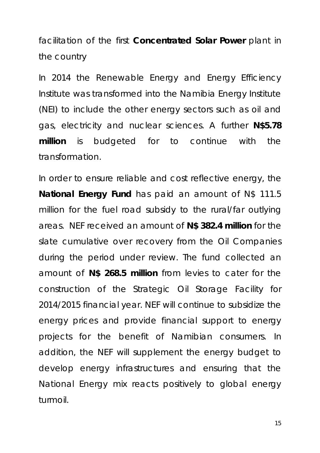facilitation of the first **Concentrated Solar Power** plant in the country

In 2014 the Renewable Energy and Energy Efficiency Institute was transformed into the Namibia Energy Institute (NEI) to include the other energy sectors such as oil and gas, electricity and nuclear sciences. A further **N\$5.78 million** is budgeted for to continue with the transformation.

In order to ensure reliable and cost reflective energy, the **National Energy Fund** has paid an amount of N\$ 111.5 million for the fuel road subsidy to the rural/far outlying areas. NEF received an amount of **N\$ 382.4 million** for the slate cumulative over recovery from the Oil Companies during the period under review. The fund collected an amount of **N\$ 268.5 million** from levies to cater for the construction of the Strategic Oil Storage Facility for 2014/2015 financial year. NEF will continue to subsidize the energy prices and provide financial support to energy projects for the benefit of Namibian consumers. In addition, the NEF will supplement the energy budget to develop energy infrastructures and ensuring that the National Energy mix reacts positively to global energy turmoil.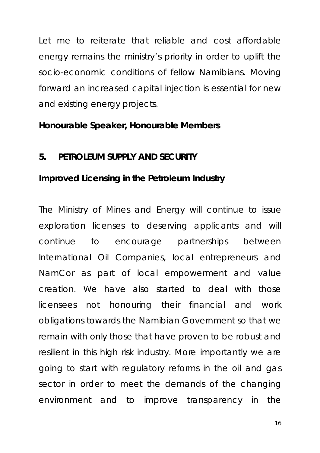Let me to reiterate that reliable and cost affordable energy remains the ministry's priority in order to uplift the socio-economic conditions of fellow Namibians. Moving forward an increased capital injection is essential for new and existing energy projects.

#### **Honourable Speaker, Honourable Members**

#### **5. PETROLEUM SUPPLY AND SECURITY**

#### **Improved Licensing in the Petroleum Industry**

The Ministry of Mines and Energy will continue to issue exploration licenses to deserving applicants and will continue to encourage partnerships between International Oil Companies, local entrepreneurs and NamCor as part of local empowerment and value creation. We have also started to deal with those licensees not honouring their financial and work obligations towards the Namibian Government so that we remain with only those that have proven to be robust and resilient in this high risk industry. More importantly we are going to start with regulatory reforms in the oil and gas sector in order to meet the demands of the changing environment and to improve transparency in the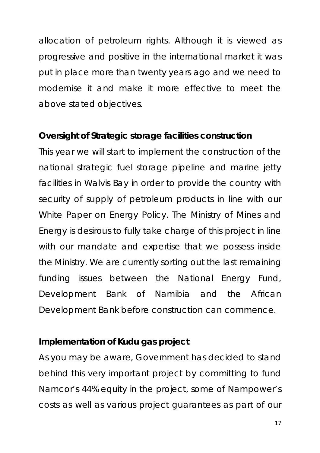allocation of petroleum rights. Although it is viewed as progressive and positive in the international market it was put in place more than twenty years ago and we need to modernise it and make it more effective to meet the above stated objectives.

#### **Oversight of Strategic storage facilities construction**

This year we will start to implement the construction of the national strategic fuel storage pipeline and marine jetty facilities in Walvis Bay in order to provide the country with security of supply of petroleum products in line with our White Paper on Energy Policy. The Ministry of Mines and Energy is desirous to fully take charge of this project in line with our mandate and expertise that we possess inside the Ministry. We are currently sorting out the last remaining funding issues between the National Energy Fund, Development Bank of Namibia and the African Development Bank before construction can commence.

#### **Implementation of Kudu gas project**

As you may be aware, Government has decided to stand behind this very important project by committing to fund Namcor's 44% equity in the project, some of Nampower's costs as well as various project guarantees as part of our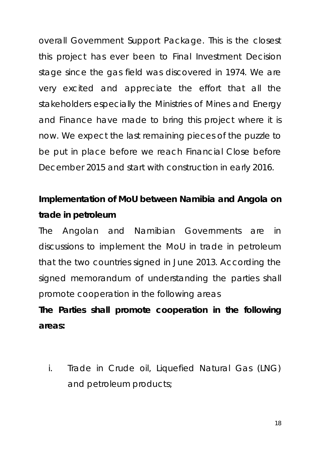overall Government Support Package. This is the closest this project has ever been to Final Investment Decision stage since the gas field was discovered in 1974. We are very excited and appreciate the effort that all the stakeholders especially the Ministries of Mines and Energy and Finance have made to bring this project where it is now. We expect the last remaining pieces of the puzzle to be put in place before we reach Financial Close before December 2015 and start with construction in early 2016.

# **Implementation of MoU between Namibia and Angola on trade in petroleum**

The Angolan and Namibian Governments are in discussions to implement the MoU in trade in petroleum that the two countries signed in June 2013. According the signed memorandum of understanding the parties shall promote cooperation in the following areas

# **The Parties shall promote cooperation in the following areas:**

i. Trade in Crude oil, Liquefied Natural Gas (LNG) and petroleum products;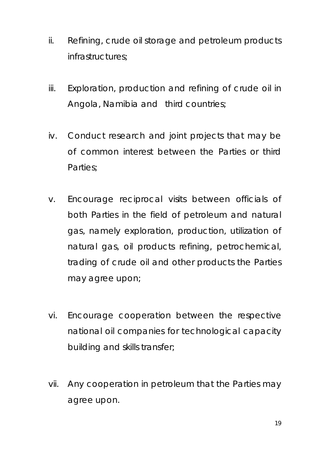- ii. Refining, crude oil storage and petroleum products infrastructures;
- iii. Exploration, production and refining of crude oil in Angola, Namibia and third countries;
- iv. Conduct research and joint projects that may be of common interest between the Parties or third Parties;
- v. Encourage reciprocal visits between officials of both Parties in the field of petroleum and natural gas, namely exploration, production, utilization of natural gas, oil products refining, petrochemical, trading of crude oil and other products the Parties may agree upon;
- vi. Encourage cooperation between the respective national oil companies for technological capacity building and skills transfer;
- vii. Any cooperation in petroleum that the Parties may agree upon.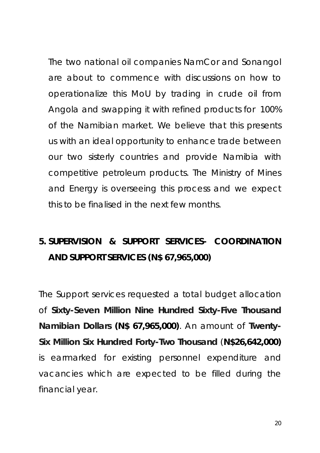The two national oil companies NamCor and Sonangol are about to commence with discussions on how to operationalize this MoU by trading in crude oil from Angola and swapping it with refined products for 100% of the Namibian market. We believe that this presents us with an ideal opportunity to enhance trade between our two sisterly countries and provide Namibia with competitive petroleum products. The Ministry of Mines and Energy is overseeing this process and we expect this to be finalised in the next few months.

# **5. SUPERVISION & SUPPORT SERVICES- COORDINATION AND SUPPORT SERVICES (N\$ 67,965,000)**

The Support services requested a total budget allocation of **Sixty-Seven Million Nine Hundred Sixty-Five Thousand Namibian Dollars (N\$ 67,965,000)**. An amount of **Twenty-Six Million Six Hundred Forty-Two Thousand** (**N\$26,642,000)** is earmarked for existing personnel expenditure and vacancies which are expected to be filled during the financial year.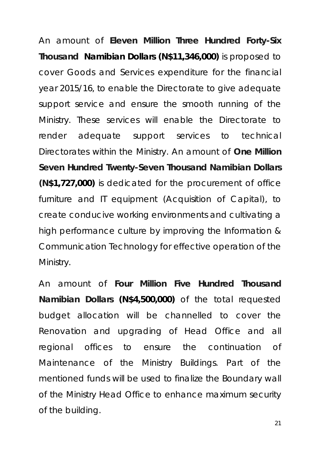An amount of **Eleven Million Three Hundred Forty-Six Thousand Namibian Dollars (N\$11,346,000)** is proposed to cover Goods and Services expenditure for the financial year 2015/16, to enable the Directorate to give adequate support service and ensure the smooth running of the Ministry. These services will enable the Directorate to render adequate support services to technical Directorates within the Ministry. An amount of **One Million Seven Hundred Twenty-Seven Thousand Namibian Dollars (N\$1,727,000)** is dedicated for the procurement of office furniture and IT equipment (Acquisition of Capital), to create conducive working environments and cultivating a high performance culture by improving the Information & Communication Technology for effective operation of the Ministry.

An amount of **Four Million Five Hundred Thousand Namibian Dollars (N\$4,500,000)** of the total requested budget allocation will be channelled to cover the Renovation and upgrading of Head Office and all regional offices to ensure the continuation of Maintenance of the Ministry Buildings. Part of the mentioned funds will be used to finalize the Boundary wall of the Ministry Head Office to enhance maximum security of the building.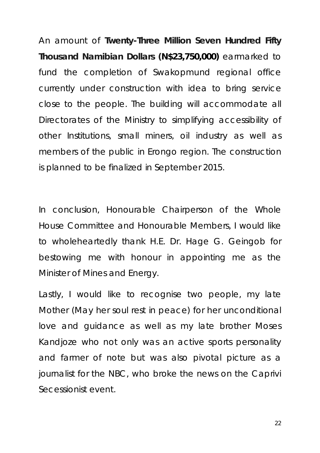An amount of **Twenty-Three Million Seven Hundred Fifty Thousand Namibian Dollars (N\$23,750,000)** earmarked to fund the completion of Swakopmund regional office currently under construction with idea to bring service close to the people. The building will accommodate all Directorates of the Ministry to simplifying accessibility of other Institutions, small miners, oil industry as well as members of the public in Erongo region. The construction is planned to be finalized in September 2015.

In conclusion, Honourable Chairperson of the Whole House Committee and Honourable Members, I would like to wholeheartedly thank H.E. Dr. Hage G. Geingob for bestowing me with honour in appointing me as the Minister of Mines and Energy.

Lastly, I would like to recognise two people, my late Mother (May her soul rest in peace) for her unconditional love and guidance as well as my late brother Moses Kandjoze who not only was an active sports personality and farmer of note but was also pivotal picture as a journalist for the NBC, who broke the news on the Caprivi Secessionist event.